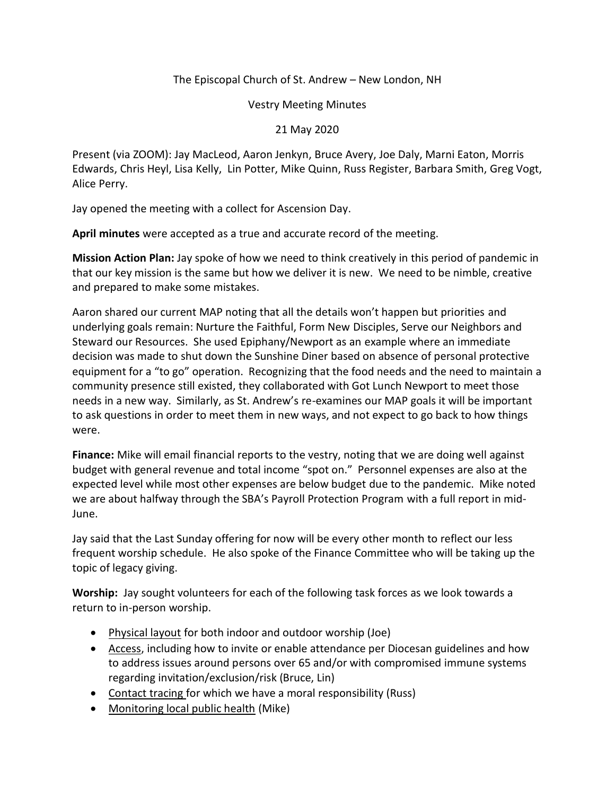## The Episcopal Church of St. Andrew – New London, NH

## Vestry Meeting Minutes

## 21 May 2020

Present (via ZOOM): Jay MacLeod, Aaron Jenkyn, Bruce Avery, Joe Daly, Marni Eaton, Morris Edwards, Chris Heyl, Lisa Kelly, Lin Potter, Mike Quinn, Russ Register, Barbara Smith, Greg Vogt, Alice Perry.

Jay opened the meeting with a collect for Ascension Day.

**April minutes** were accepted as a true and accurate record of the meeting.

**Mission Action Plan:** Jay spoke of how we need to think creatively in this period of pandemic in that our key mission is the same but how we deliver it is new. We need to be nimble, creative and prepared to make some mistakes.

Aaron shared our current MAP noting that all the details won't happen but priorities and underlying goals remain: Nurture the Faithful, Form New Disciples, Serve our Neighbors and Steward our Resources. She used Epiphany/Newport as an example where an immediate decision was made to shut down the Sunshine Diner based on absence of personal protective equipment for a "to go" operation. Recognizing that the food needs and the need to maintain a community presence still existed, they collaborated with Got Lunch Newport to meet those needs in a new way. Similarly, as St. Andrew's re-examines our MAP goals it will be important to ask questions in order to meet them in new ways, and not expect to go back to how things were.

**Finance:** Mike will email financial reports to the vestry, noting that we are doing well against budget with general revenue and total income "spot on." Personnel expenses are also at the expected level while most other expenses are below budget due to the pandemic. Mike noted we are about halfway through the SBA's Payroll Protection Program with a full report in mid-June.

Jay said that the Last Sunday offering for now will be every other month to reflect our less frequent worship schedule. He also spoke of the Finance Committee who will be taking up the topic of legacy giving.

**Worship:** Jay sought volunteers for each of the following task forces as we look towards a return to in-person worship.

- Physical layout for both indoor and outdoor worship (Joe)
- Access, including how to invite or enable attendance per Diocesan guidelines and how to address issues around persons over 65 and/or with compromised immune systems regarding invitation/exclusion/risk (Bruce, Lin)
- Contact tracing for which we have a moral responsibility (Russ)
- Monitoring local public health (Mike)